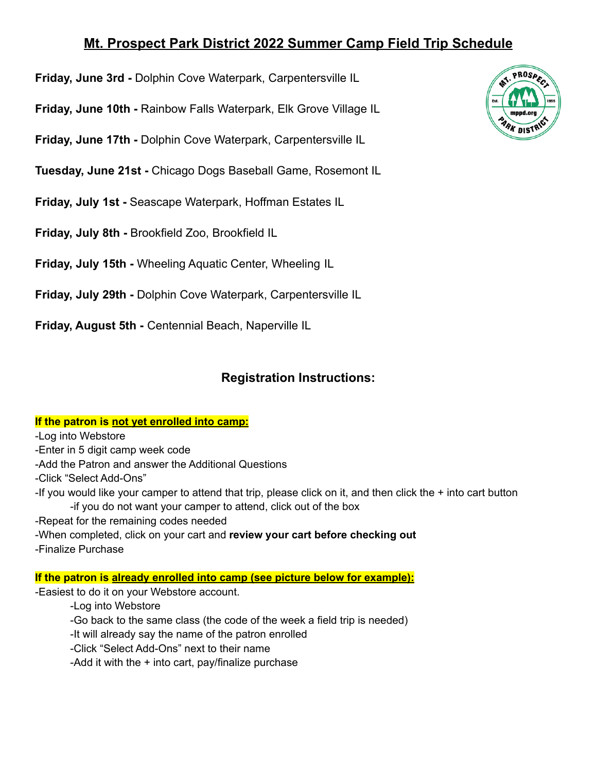## **Mt. Prospect Park District 2022 Summer Camp Field Trip Schedule**

- **Friday, June 3rd -** Dolphin Cove Waterpark, Carpentersville IL
- **Friday, June 10th -** Rainbow Falls Waterpark, Elk Grove Village IL
- **Friday, June 17th -** Dolphin Cove Waterpark, Carpentersville IL
- **Tuesday, June 21st -** Chicago Dogs Baseball Game, Rosemont IL
- **Friday, July 1st -** Seascape Waterpark, Hoffman Estates IL
- **Friday, July 8th -** Brookfield Zoo, Brookfield IL
- **Friday, July 15th -** Wheeling Aquatic Center, Wheeling IL
- **Friday, July 29th -** Dolphin Cove Waterpark, Carpentersville IL

**Friday, August 5th -** Centennial Beach, Naperville IL

# **Registration Instructions:**

#### **If the patron is not yet enrolled into camp:**

-Log into Webstore

- -Enter in 5 digit camp week code
- -Add the Patron and answer the Additional Questions
- -Click "Select Add-Ons"
- -If you would like your camper to attend that trip, please click on it, and then click the + into cart button -if you do not want your camper to attend, click out of the box
- -Repeat for the remaining codes needed
- -When completed, click on your cart and **review your cart before checking out** -Finalize Purchase

#### **If the patron is already enrolled into camp (see picture below for example):**

-Easiest to do it on your Webstore account.

- -Log into Webstore
- -Go back to the same class (the code of the week a field trip is needed)
- -It will already say the name of the patron enrolled
- -Click "Select Add-Ons" next to their name
- -Add it with the  $+$  into cart, pay/finalize purchase